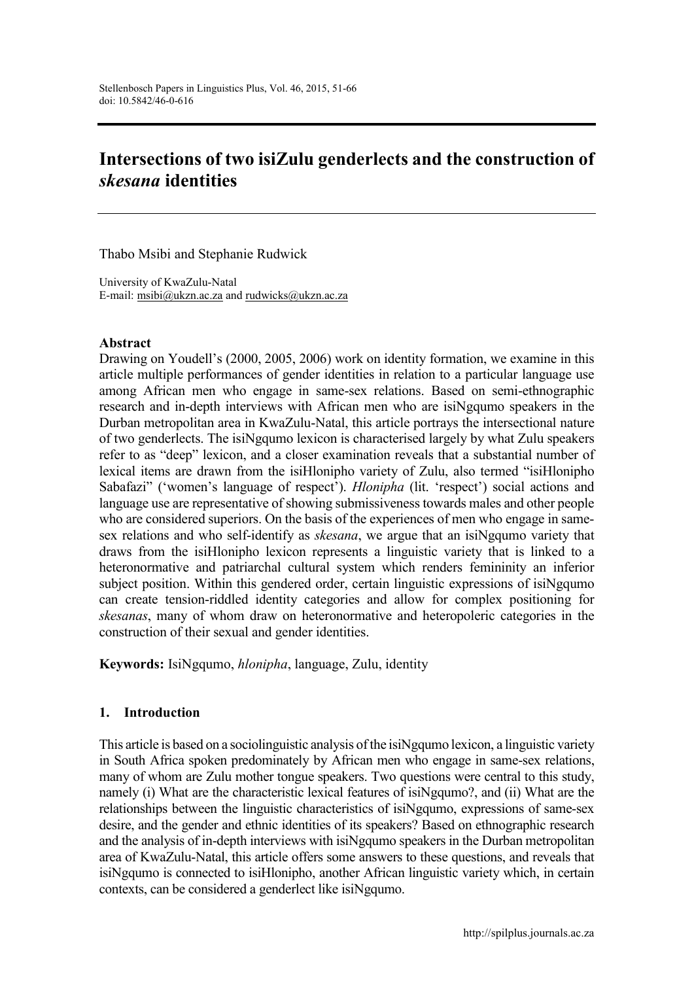# **Intersections of two isiZulu genderlects and the construction of**  *skesana* **identities**

Thabo Msibi and Stephanie Rudwick

University of KwaZulu-Natal E-mail: [msibi@ukzn.ac.za](mailto:msibi@ukzn.ac.za) and [rudwicks@ukzn.ac.za](mailto:rudwicks@ukzn.ac.za)

#### **Abstract**

Drawing on Youdell's (2000, 2005, 2006) work on identity formation, we examine in this article multiple performances of gender identities in relation to a particular language use among African men who engage in same-sex relations. Based on semi-ethnographic research and in-depth interviews with African men who are isiNgqumo speakers in the Durban metropolitan area in KwaZulu-Natal, this article portrays the intersectional nature of two genderlects. The isiNgqumo lexicon is characterised largely by what Zulu speakers refer to as "deep" lexicon, and a closer examination reveals that a substantial number of lexical items are drawn from the isiHlonipho variety of Zulu, also termed "isiHlonipho Sabafazi" ('women's language of respect'). *Hlonipha* (lit. 'respect') social actions and language use are representative of showing submissiveness towards males and other people who are considered superiors. On the basis of the experiences of men who engage in samesex relations and who self-identify as *skesana*, we argue that an isiNgqumo variety that draws from the isiHlonipho lexicon represents a linguistic variety that is linked to a heteronormative and patriarchal cultural system which renders femininity an inferior subject position. Within this gendered order, certain linguistic expressions of isiNgqumo can create tension-riddled identity categories and allow for complex positioning for *skesanas*, many of whom draw on heteronormative and heteropoleric categories in the construction of their sexual and gender identities.

**Keywords:** IsiNgqumo, *hlonipha*, language, Zulu, identity

## **1. Introduction**

This article is based on a sociolinguistic analysis of the isiNgqumo lexicon, a linguistic variety in South Africa spoken predominately by African men who engage in same-sex relations, many of whom are Zulu mother tongue speakers. Two questions were central to this study, namely (i) What are the characteristic lexical features of isiNgqumo?, and (ii) What are the relationships between the linguistic characteristics of isiNgqumo, expressions of same-sex desire, and the gender and ethnic identities of its speakers? Based on ethnographic research and the analysis of in-depth interviews with isiNgqumo speakers in the Durban metropolitan area of KwaZulu-Natal, this article offers some answers to these questions, and reveals that isiNgqumo is connected to isiHlonipho, another African linguistic variety which, in certain contexts, can be considered a genderlect like isiNgqumo.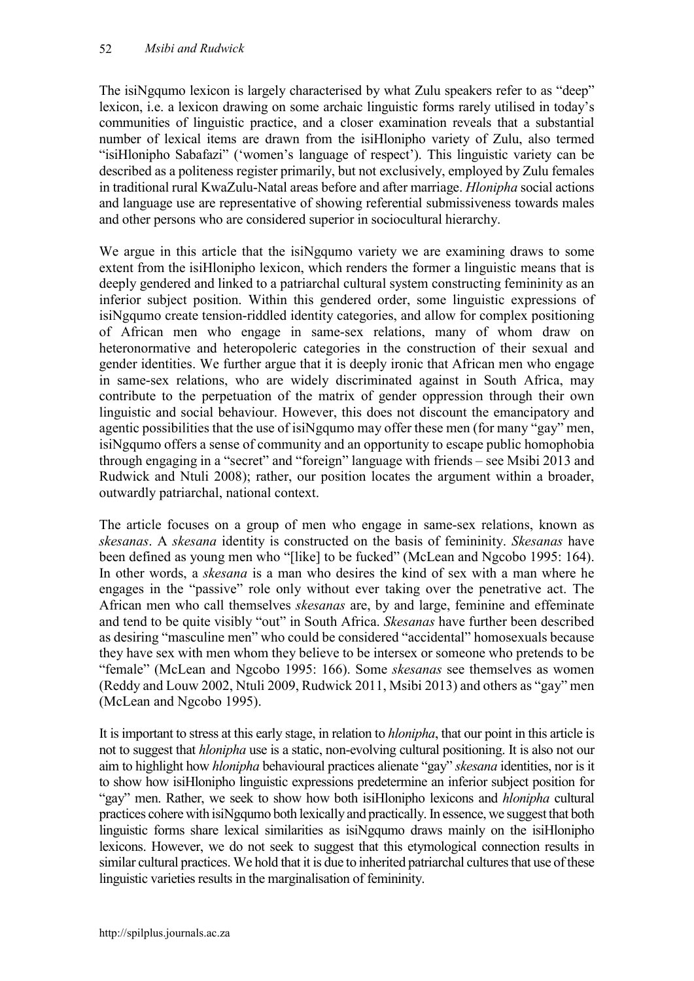The isiNgqumo lexicon is largely characterised by what Zulu speakers refer to as "deep" lexicon, i.e. a lexicon drawing on some archaic linguistic forms rarely utilised in today's communities of linguistic practice, and a closer examination reveals that a substantial number of lexical items are drawn from the isiHlonipho variety of Zulu, also termed "isiHlonipho Sabafazi" ('women's language of respect'). This linguistic variety can be described as a politeness register primarily, but not exclusively, employed by Zulu females in traditional rural KwaZulu-Natal areas before and after marriage. *Hlonipha* social actions and language use are representative of showing referential submissiveness towards males and other persons who are considered superior in sociocultural hierarchy.

We argue in this article that the isiNgqumo variety we are examining draws to some extent from the isiHlonipho lexicon, which renders the former a linguistic means that is deeply gendered and linked to a patriarchal cultural system constructing femininity as an inferior subject position. Within this gendered order, some linguistic expressions of isiNgqumo create tension-riddled identity categories, and allow for complex positioning of African men who engage in same-sex relations, many of whom draw on heteronormative and heteropoleric categories in the construction of their sexual and gender identities. We further argue that it is deeply ironic that African men who engage in same-sex relations, who are widely discriminated against in South Africa, may contribute to the perpetuation of the matrix of gender oppression through their own linguistic and social behaviour. However, this does not discount the emancipatory and agentic possibilities that the use of isiNgqumo may offer these men (for many "gay" men, isiNgqumo offers a sense of community and an opportunity to escape public homophobia through engaging in a "secret" and "foreign" language with friends – see Msibi 2013 and Rudwick and Ntuli 2008); rather, our position locates the argument within a broader, outwardly patriarchal, national context.

The article focuses on a group of men who engage in same-sex relations, known as *skesanas*. A *skesana* identity is constructed on the basis of femininity. *Skesanas* have been defined as young men who "[like] to be fucked" (McLean and Ngcobo 1995: 164). In other words, a *skesana* is a man who desires the kind of sex with a man where he engages in the "passive" role only without ever taking over the penetrative act. The African men who call themselves *skesanas* are, by and large, feminine and effeminate and tend to be quite visibly "out" in South Africa. *Skesanas* have further been described as desiring "masculine men" who could be considered "accidental" homosexuals because they have sex with men whom they believe to be intersex or someone who pretends to be "female" (McLean and Ngcobo 1995: 166). Some *skesanas* see themselves as women (Reddy and Louw 2002, Ntuli 2009, Rudwick 2011, Msibi 2013) and others as "gay" men (McLean and Ngcobo 1995).

It is important to stress at this early stage, in relation to *hlonipha*, that our point in this article is not to suggest that *hlonipha* use is a static, non-evolving cultural positioning. It is also not our aim to highlight how *hlonipha* behavioural practices alienate "gay" *skesana* identities, nor is it to show how isiHlonipho linguistic expressions predetermine an inferior subject position for "gay" men. Rather, we seek to show how both isiHlonipho lexicons and *hlonipha* cultural practices cohere with isiNgqumo both lexically and practically. In essence, we suggest that both linguistic forms share lexical similarities as isiNgqumo draws mainly on the isiHlonipho lexicons. However, we do not seek to suggest that this etymological connection results in similar cultural practices. We hold that it is due to inherited patriarchal cultures that use of these linguistic varieties results in the marginalisation of femininity.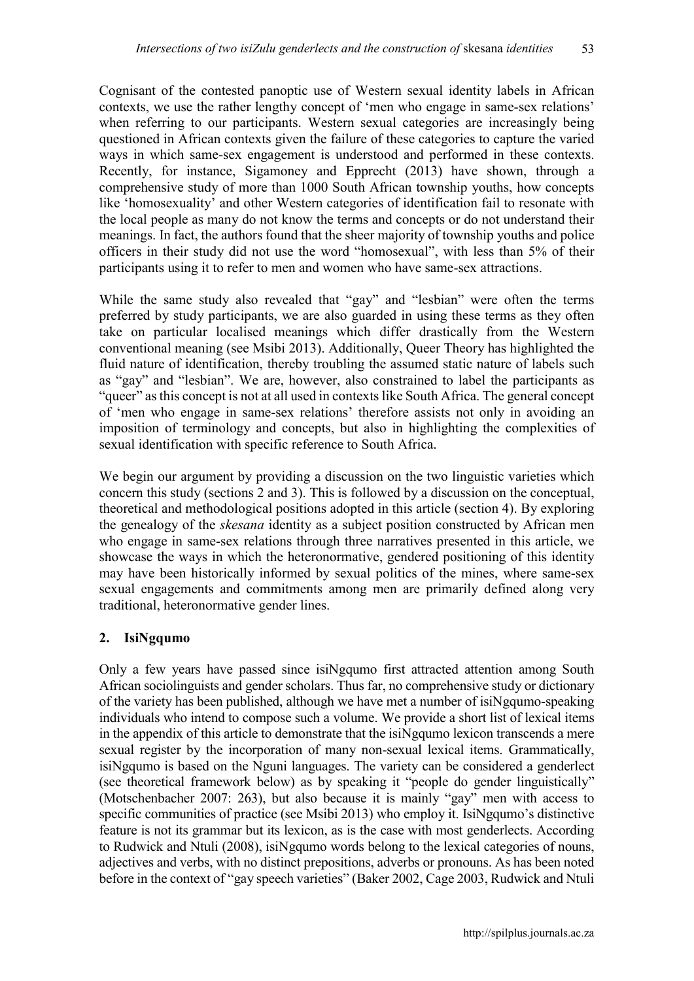Cognisant of the contested panoptic use of Western sexual identity labels in African contexts, we use the rather lengthy concept of 'men who engage in same-sex relations' when referring to our participants. Western sexual categories are increasingly being questioned in African contexts given the failure of these categories to capture the varied ways in which same-sex engagement is understood and performed in these contexts. Recently, for instance, Sigamoney and Epprecht (2013) have shown, through a comprehensive study of more than 1000 South African township youths, how concepts like 'homosexuality' and other Western categories of identification fail to resonate with the local people as many do not know the terms and concepts or do not understand their meanings. In fact, the authors found that the sheer majority of township youths and police officers in their study did not use the word "homosexual", with less than 5% of their participants using it to refer to men and women who have same-sex attractions.

While the same study also revealed that "gay" and "lesbian" were often the terms preferred by study participants, we are also guarded in using these terms as they often take on particular localised meanings which differ drastically from the Western conventional meaning (see Msibi 2013). Additionally, Queer Theory has highlighted the fluid nature of identification, thereby troubling the assumed static nature of labels such as "gay" and "lesbian". We are, however, also constrained to label the participants as "queer" as this concept is not at all used in contexts like South Africa. The general concept of 'men who engage in same-sex relations' therefore assists not only in avoiding an imposition of terminology and concepts, but also in highlighting the complexities of sexual identification with specific reference to South Africa.

We begin our argument by providing a discussion on the two linguistic varieties which concern this study (sections 2 and 3). This is followed by a discussion on the conceptual, theoretical and methodological positions adopted in this article (section 4). By exploring the genealogy of the *skesana* identity as a subject position constructed by African men who engage in same-sex relations through three narratives presented in this article, we showcase the ways in which the heteronormative, gendered positioning of this identity may have been historically informed by sexual politics of the mines, where same-sex sexual engagements and commitments among men are primarily defined along very traditional, heteronormative gender lines.

## **2. IsiNgqumo**

Only a few years have passed since isiNgqumo first attracted attention among South African sociolinguists and gender scholars. Thus far, no comprehensive study or dictionary of the variety has been published, although we have met a number of isiNgqumo-speaking individuals who intend to compose such a volume. We provide a short list of lexical items in the appendix of this article to demonstrate that the isiNgqumo lexicon transcends a mere sexual register by the incorporation of many non-sexual lexical items. Grammatically, isiNgqumo is based on the Nguni languages. The variety can be considered a genderlect (see theoretical framework below) as by speaking it "people do gender linguistically" (Motschenbacher 2007: 263), but also because it is mainly "gay" men with access to specific communities of practice (see Msibi 2013) who employ it. IsiNgqumo's distinctive feature is not its grammar but its lexicon, as is the case with most genderlects. According to Rudwick and Ntuli (2008), isiNgqumo words belong to the lexical categories of nouns, adjectives and verbs, with no distinct prepositions, adverbs or pronouns. As has been noted before in the context of "gay speech varieties" (Baker 2002, Cage 2003, Rudwick and Ntuli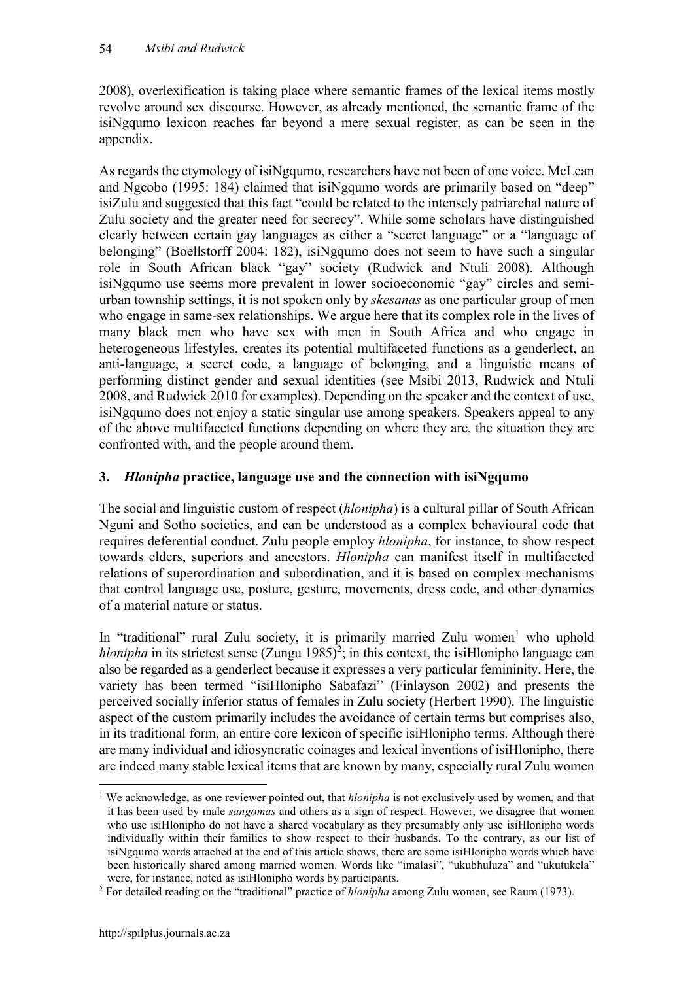2008), overlexification is taking place where semantic frames of the lexical items mostly revolve around sex discourse. However, as already mentioned, the semantic frame of the isiNgqumo lexicon reaches far beyond a mere sexual register, as can be seen in the appendix.

As regards the etymology of isiNgqumo, researchers have not been of one voice. McLean and Ngcobo (1995: 184) claimed that isiNgqumo words are primarily based on "deep" isiZulu and suggested that this fact "could be related to the intensely patriarchal nature of Zulu society and the greater need for secrecy". While some scholars have distinguished clearly between certain gay languages as either a "secret language" or a "language of belonging" (Boellstorff 2004: 182), isiNgqumo does not seem to have such a singular role in South African black "gay" society (Rudwick and Ntuli 2008). Although isiNgqumo use seems more prevalent in lower socioeconomic "gay" circles and semiurban township settings, it is not spoken only by *skesanas* as one particular group of men who engage in same-sex relationships. We argue here that its complex role in the lives of many black men who have sex with men in South Africa and who engage in heterogeneous lifestyles, creates its potential multifaceted functions as a genderlect, an anti-language, a secret code, a language of belonging, and a linguistic means of performing distinct gender and sexual identities (see Msibi 2013, Rudwick and Ntuli 2008, and Rudwick 2010 for examples). Depending on the speaker and the context of use, isiNgqumo does not enjoy a static singular use among speakers. Speakers appeal to any of the above multifaceted functions depending on where they are, the situation they are confronted with, and the people around them.

# **3.** *Hlonipha* **practice, language use and the connection with isiNgqumo**

The social and linguistic custom of respect (*hlonipha*) is a cultural pillar of South African Nguni and Sotho societies, and can be understood as a complex behavioural code that requires deferential conduct. Zulu people employ *hlonipha*, for instance, to show respect towards elders, superiors and ancestors. *Hlonipha* can manifest itself in multifaceted relations of superordination and subordination, and it is based on complex mechanisms that control language use, posture, gesture, movements, dress code, and other dynamics of a material nature or status.

In "traditional" rural Zulu society, it is primarily married Zulu women<sup>1</sup> who uphold *hlonipha* in its strictest sense  $(Zungu 1985)^2$ ; in this context, the isiHlonipho language can also be regarded as a genderlect because it expresses a very particular femininity. Here, the variety has been termed "isiHlonipho Sabafazi" (Finlayson 2002) and presents the perceived socially inferior status of females in Zulu society (Herbert 1990). The linguistic aspect of the custom primarily includes the avoidance of certain terms but comprises also, in its traditional form, an entire core lexicon of specific isiHlonipho terms. Although there are many individual and idiosyncratic coinages and lexical inventions of isiHlonipho, there are indeed many stable lexical items that are known by many, especially rural Zulu women

 <sup>1</sup> We acknowledge, as one reviewer pointed out, that *hlonipha* is not exclusively used by women, and that it has been used by male *sangomas* and others as a sign of respect. However, we disagree that women who use isiHlonipho do not have a shared vocabulary as they presumably only use isiHlonipho words individually within their families to show respect to their husbands. To the contrary, as our list of isiNgqumo words attached at the end of this article shows, there are some isiHlonipho words which have been historically shared among married women. Words like "imalasi", "ukubhuluza" and "ukutukela" were, for instance, noted as isiHlonipho words by participants.

<sup>2</sup> For detailed reading on the "traditional" practice of *hlonipha* among Zulu women, see Raum (1973).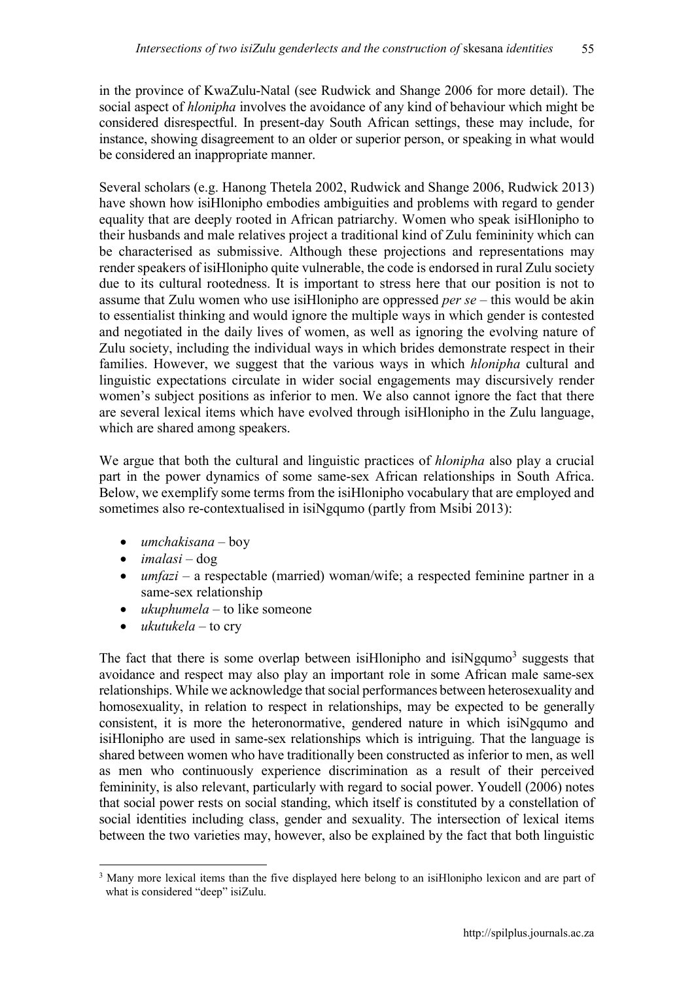in the province of KwaZulu-Natal (see Rudwick and Shange 2006 for more detail). The social aspect of *hlonipha* involves the avoidance of any kind of behaviour which might be considered disrespectful. In present-day South African settings, these may include, for instance, showing disagreement to an older or superior person, or speaking in what would be considered an inappropriate manner.

Several scholars (e.g. Hanong Thetela 2002, Rudwick and Shange 2006, Rudwick 2013) have shown how isiHlonipho embodies ambiguities and problems with regard to gender equality that are deeply rooted in African patriarchy. Women who speak isiHlonipho to their husbands and male relatives project a traditional kind of Zulu femininity which can be characterised as submissive. Although these projections and representations may render speakers of isiHlonipho quite vulnerable, the code is endorsed in rural Zulu society due to its cultural rootedness. It is important to stress here that our position is not to assume that Zulu women who use isiHlonipho are oppressed *per se* – this would be akin to essentialist thinking and would ignore the multiple ways in which gender is contested and negotiated in the daily lives of women, as well as ignoring the evolving nature of Zulu society, including the individual ways in which brides demonstrate respect in their families. However, we suggest that the various ways in which *hlonipha* cultural and linguistic expectations circulate in wider social engagements may discursively render women's subject positions as inferior to men. We also cannot ignore the fact that there are several lexical items which have evolved through isiHlonipho in the Zulu language, which are shared among speakers.

We argue that both the cultural and linguistic practices of *hlonipha* also play a crucial part in the power dynamics of some same-sex African relationships in South Africa. Below, we exemplify some terms from the isiHlonipho vocabulary that are employed and sometimes also re-contextualised in isiNgqumo (partly from Msibi 2013):

- *umchakisana*  boy
- *imalasi*  dog
- *umfazi* a respectable (married) woman/wife; a respected feminine partner in a same-sex relationship
- *ukuphumela* to like someone
- *ukutukela* to cry

The fact that there is some overlap between is Hlonipho and is independent suggests that avoidance and respect may also play an important role in some African male same-sex relationships. While we acknowledge that social performances between heterosexuality and homosexuality, in relation to respect in relationships, may be expected to be generally consistent, it is more the heteronormative, gendered nature in which isiNgqumo and isiHlonipho are used in same-sex relationships which is intriguing. That the language is shared between women who have traditionally been constructed as inferior to men, as well as men who continuously experience discrimination as a result of their perceived femininity, is also relevant, particularly with regard to social power. Youdell (2006) notes that social power rests on social standing, which itself is constituted by a constellation of social identities including class, gender and sexuality. The intersection of lexical items between the two varieties may, however, also be explained by the fact that both linguistic

<sup>&</sup>lt;sup>3</sup> Many more lexical items than the five displayed here belong to an isiHlonipho lexicon and are part of what is considered "deep" isiZulu.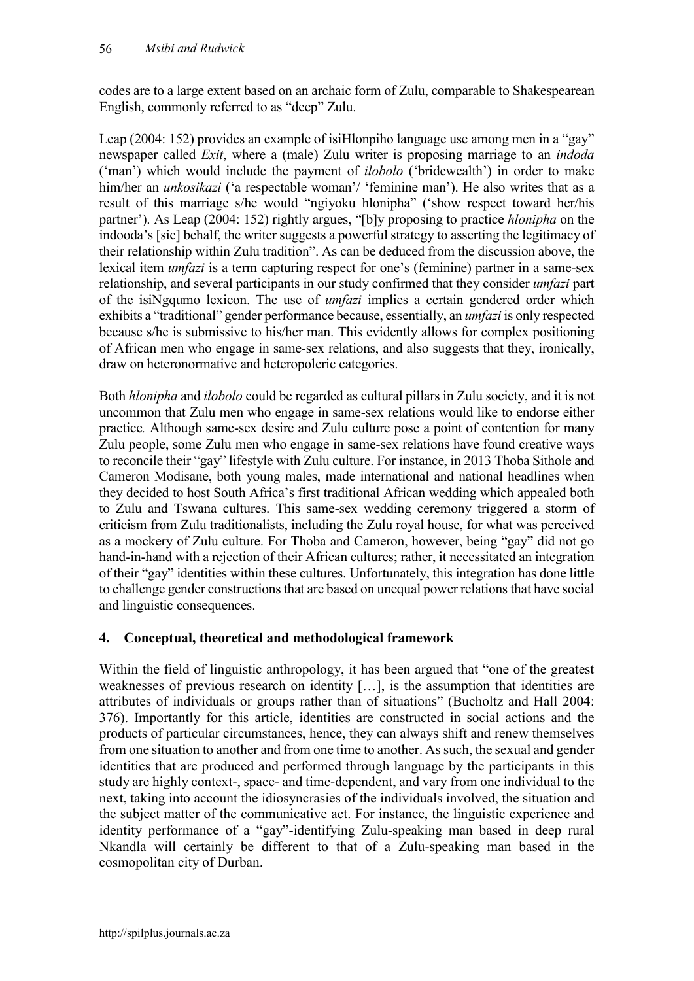codes are to a large extent based on an archaic form of Zulu, comparable to Shakespearean English, commonly referred to as "deep" Zulu.

Leap (2004: 152) provides an example of isiHlonpiho language use among men in a "gay" newspaper called *Exit*, where a (male) Zulu writer is proposing marriage to an *indoda*  ('man') which would include the payment of *ilobolo* ('bridewealth') in order to make him/her an *unkosikazi* ('a respectable woman'/ 'feminine man'). He also writes that as a result of this marriage s/he would "ngiyoku hlonipha" ('show respect toward her/his partner'). As Leap (2004: 152) rightly argues, "[b]y proposing to practice *hlonipha* on the indooda's [sic] behalf, the writer suggests a powerful strategy to asserting the legitimacy of their relationship within Zulu tradition". As can be deduced from the discussion above, the lexical item *umfazi* is a term capturing respect for one's (feminine) partner in a same-sex relationship, and several participants in our study confirmed that they consider *umfazi* part of the isiNgqumo lexicon. The use of *umfazi* implies a certain gendered order which exhibits a "traditional" gender performance because, essentially, an *umfazi* is only respected because s/he is submissive to his/her man. This evidently allows for complex positioning of African men who engage in same-sex relations, and also suggests that they, ironically, draw on heteronormative and heteropoleric categories.

Both *hlonipha* and *ilobolo* could be regarded as cultural pillars in Zulu society, and it is not uncommon that Zulu men who engage in same-sex relations would like to endorse either practice*.* Although same-sex desire and Zulu culture pose a point of contention for many Zulu people, some Zulu men who engage in same-sex relations have found creative ways to reconcile their "gay" lifestyle with Zulu culture. For instance, in 2013 Thoba Sithole and Cameron Modisane, both young males, made international and national headlines when they decided to host South Africa's first traditional African wedding which appealed both to Zulu and Tswana cultures. This same-sex wedding ceremony triggered a storm of criticism from Zulu traditionalists, including the Zulu royal house, for what was perceived as a mockery of Zulu culture. For Thoba and Cameron, however, being "gay" did not go hand-in-hand with a rejection of their African cultures; rather, it necessitated an integration of their "gay" identities within these cultures. Unfortunately, this integration has done little to challenge gender constructions that are based on unequal power relations that have social and linguistic consequences.

## **4. Conceptual, theoretical and methodological framework**

Within the field of linguistic anthropology, it has been argued that "one of the greatest weaknesses of previous research on identity […], is the assumption that identities are attributes of individuals or groups rather than of situations" (Bucholtz and Hall 2004: 376). Importantly for this article, identities are constructed in social actions and the products of particular circumstances, hence, they can always shift and renew themselves from one situation to another and from one time to another. As such, the sexual and gender identities that are produced and performed through language by the participants in this study are highly context-, space- and time-dependent, and vary from one individual to the next, taking into account the idiosyncrasies of the individuals involved, the situation and the subject matter of the communicative act. For instance, the linguistic experience and identity performance of a "gay"-identifying Zulu-speaking man based in deep rural Nkandla will certainly be different to that of a Zulu-speaking man based in the cosmopolitan city of Durban.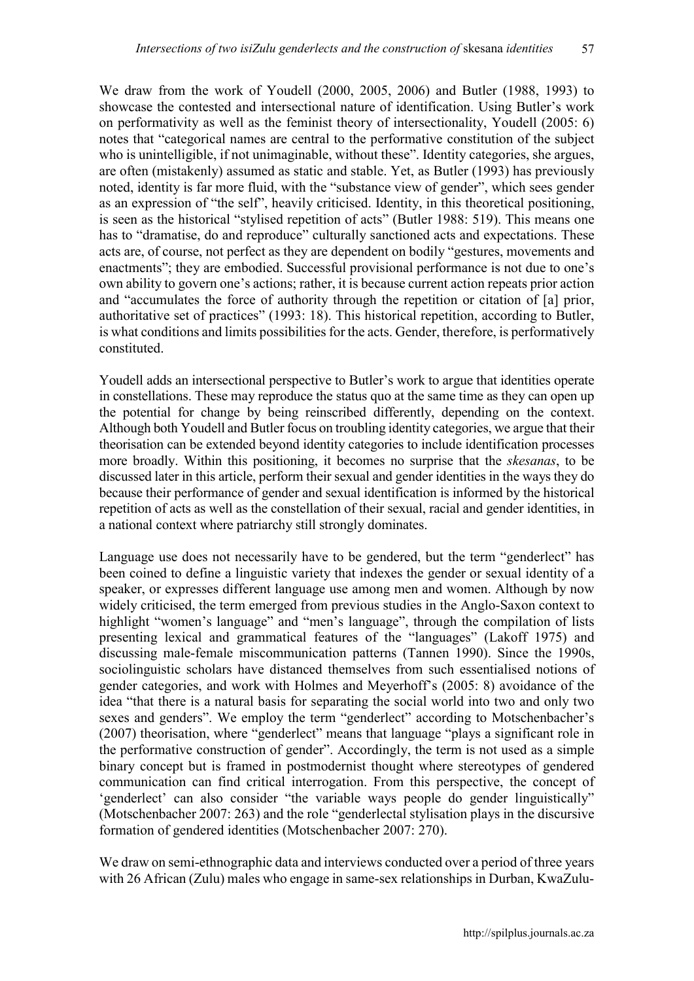We draw from the work of Youdell (2000, 2005, 2006) and Butler (1988, 1993) to showcase the contested and intersectional nature of identification. Using Butler's work on performativity as well as the feminist theory of intersectionality, Youdell (2005: 6) notes that "categorical names are central to the performative constitution of the subject who is unintelligible, if not unimaginable, without these". Identity categories, she argues, are often (mistakenly) assumed as static and stable. Yet, as Butler (1993) has previously noted, identity is far more fluid, with the "substance view of gender", which sees gender as an expression of "the self", heavily criticised. Identity, in this theoretical positioning, is seen as the historical "stylised repetition of acts" (Butler 1988: 519). This means one has to "dramatise, do and reproduce" culturally sanctioned acts and expectations. These acts are, of course, not perfect as they are dependent on bodily "gestures, movements and enactments"; they are embodied. Successful provisional performance is not due to one's own ability to govern one's actions; rather, it is because current action repeats prior action and "accumulates the force of authority through the repetition or citation of [a] prior, authoritative set of practices" (1993: 18). This historical repetition, according to Butler, is what conditions and limits possibilities for the acts. Gender, therefore, is performatively constituted.

Youdell adds an intersectional perspective to Butler's work to argue that identities operate in constellations. These may reproduce the status quo at the same time as they can open up the potential for change by being reinscribed differently, depending on the context. Although both Youdell and Butler focus on troubling identity categories, we argue that their theorisation can be extended beyond identity categories to include identification processes more broadly. Within this positioning, it becomes no surprise that the *skesanas*, to be discussed later in this article, perform their sexual and gender identities in the ways they do because their performance of gender and sexual identification is informed by the historical repetition of acts as well as the constellation of their sexual, racial and gender identities, in a national context where patriarchy still strongly dominates.

Language use does not necessarily have to be gendered, but the term "genderlect" has been coined to define a linguistic variety that indexes the gender or sexual identity of a speaker, or expresses different language use among men and women. Although by now widely criticised, the term emerged from previous studies in the Anglo-Saxon context to highlight "women's language" and "men's language", through the compilation of lists presenting lexical and grammatical features of the "languages" (Lakoff 1975) and discussing male-female miscommunication patterns (Tannen 1990). Since the 1990s, sociolinguistic scholars have distanced themselves from such essentialised notions of gender categories, and work with Holmes and Meyerhoff's (2005: 8) avoidance of the idea "that there is a natural basis for separating the social world into two and only two sexes and genders". We employ the term "genderlect" according to Motschenbacher's (2007) theorisation, where "genderlect" means that language "plays a significant role in the performative construction of gender". Accordingly, the term is not used as a simple binary concept but is framed in postmodernist thought where stereotypes of gendered communication can find critical interrogation. From this perspective, the concept of 'genderlect' can also consider "the variable ways people do gender linguistically" (Motschenbacher 2007: 263) and the role "genderlectal stylisation plays in the discursive formation of gendered identities (Motschenbacher 2007: 270).

We draw on semi-ethnographic data and interviews conducted over a period of three years with 26 African (Zulu) males who engage in same-sex relationships in Durban, KwaZulu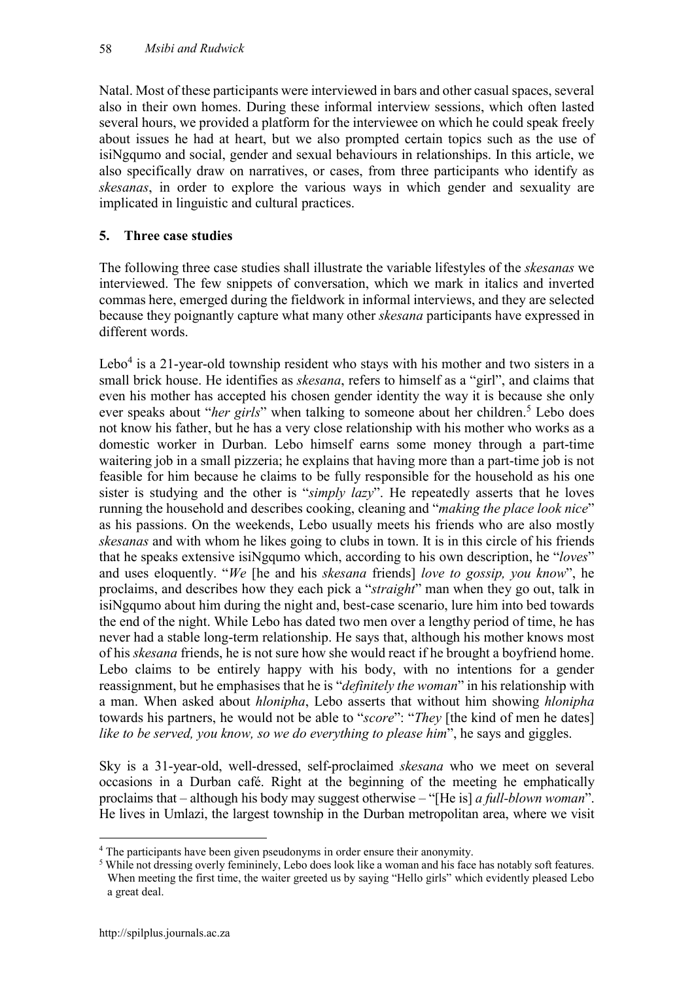Natal. Most of these participants were interviewed in bars and other casual spaces, several also in their own homes. During these informal interview sessions, which often lasted several hours, we provided a platform for the interviewee on which he could speak freely about issues he had at heart, but we also prompted certain topics such as the use of isiNgqumo and social, gender and sexual behaviours in relationships. In this article, we also specifically draw on narratives, or cases, from three participants who identify as *skesanas*, in order to explore the various ways in which gender and sexuality are implicated in linguistic and cultural practices.

## **5. Three case studies**

The following three case studies shall illustrate the variable lifestyles of the *skesanas* we interviewed. The few snippets of conversation, which we mark in italics and inverted commas here, emerged during the fieldwork in informal interviews, and they are selected because they poignantly capture what many other *skesana* participants have expressed in different words.

Lebo<sup>4</sup> is a 21-year-old township resident who stays with his mother and two sisters in a small brick house. He identifies as *skesana*, refers to himself as a "girl", and claims that even his mother has accepted his chosen gender identity the way it is because she only ever speaks about "*her girls*" when talking to someone about her children.<sup>5</sup> Lebo does not know his father, but he has a very close relationship with his mother who works as a domestic worker in Durban. Lebo himself earns some money through a part-time waitering job in a small pizzeria; he explains that having more than a part-time job is not feasible for him because he claims to be fully responsible for the household as his one sister is studying and the other is "*simply lazy*". He repeatedly asserts that he loves running the household and describes cooking, cleaning and "*making the place look nice*" as his passions. On the weekends, Lebo usually meets his friends who are also mostly *skesanas* and with whom he likes going to clubs in town. It is in this circle of his friends that he speaks extensive isiNgqumo which, according to his own description, he "*loves*" and uses eloquently. "*We* [he and his *skesana* friends] *love to gossip, you know*", he proclaims, and describes how they each pick a "*straight*" man when they go out, talk in isiNgqumo about him during the night and, best-case scenario, lure him into bed towards the end of the night. While Lebo has dated two men over a lengthy period of time, he has never had a stable long-term relationship. He says that, although his mother knows most of his *skesana* friends, he is not sure how she would react if he brought a boyfriend home. Lebo claims to be entirely happy with his body, with no intentions for a gender reassignment, but he emphasises that he is "*definitely the woman*" in his relationship with a man. When asked about *hlonipha*, Lebo asserts that without him showing *hlonipha* towards his partners, he would not be able to "*score*": "*They* [the kind of men he dates] *like to be served, you know, so we do everything to please him*", he says and giggles.

Sky is a 31-year-old, well-dressed, self-proclaimed *skesana* who we meet on several occasions in a Durban café. Right at the beginning of the meeting he emphatically proclaims that – although his body may suggest otherwise – "[He is] *a full-blown woman*". He lives in Umlazi, the largest township in the Durban metropolitan area, where we visit

 <sup>4</sup> The participants have been given pseudonyms in order ensure their anonymity.

<sup>&</sup>lt;sup>5</sup> While not dressing overly femininely, Lebo does look like a woman and his face has notably soft features. When meeting the first time, the waiter greeted us by saying "Hello girls" which evidently pleased Lebo a great deal.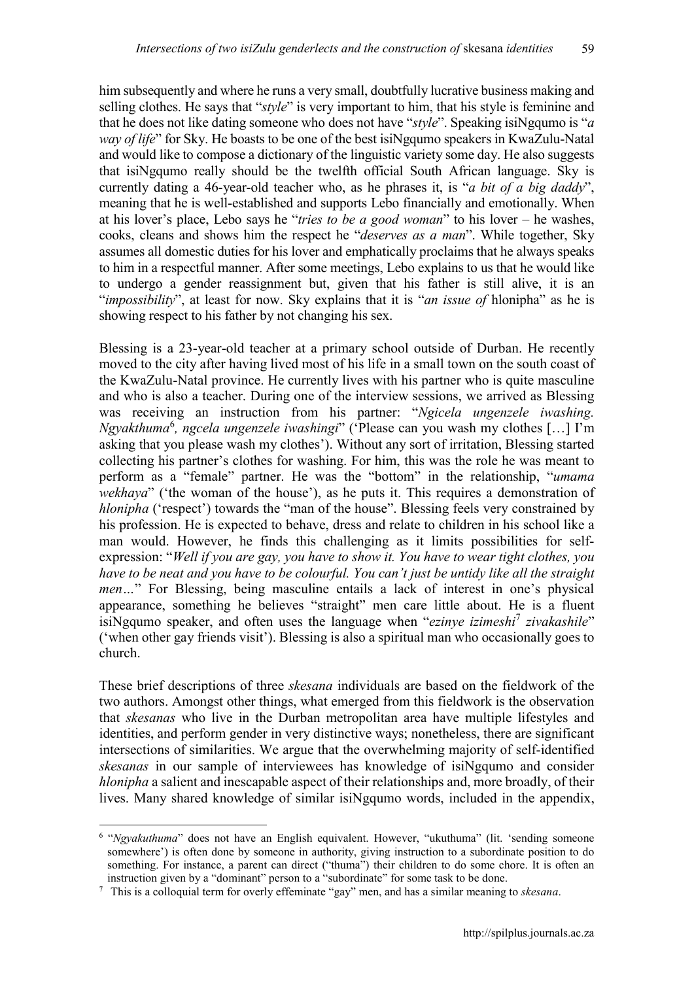him subsequently and where he runs a very small, doubtfully lucrative business making and selling clothes. He says that "*style*" is very important to him, that his style is feminine and that he does not like dating someone who does not have "*style*". Speaking isiNgqumo is "*a way of life*" for Sky. He boasts to be one of the best isiNgqumo speakers in KwaZulu-Natal and would like to compose a dictionary of the linguistic variety some day. He also suggests that isiNgqumo really should be the twelfth official South African language. Sky is currently dating a 46-year-old teacher who, as he phrases it, is "*a bit of a big daddy*", meaning that he is well-established and supports Lebo financially and emotionally. When at his lover's place, Lebo says he "*tries to be a good woman*" to his lover – he washes, cooks, cleans and shows him the respect he "*deserves as a man*". While together, Sky assumes all domestic duties for his lover and emphatically proclaims that he always speaks to him in a respectful manner. After some meetings, Lebo explains to us that he would like to undergo a gender reassignment but, given that his father is still alive, it is an "*impossibility*", at least for now. Sky explains that it is "*an issue of* hlonipha" as he is showing respect to his father by not changing his sex.

Blessing is a 23-year-old teacher at a primary school outside of Durban. He recently moved to the city after having lived most of his life in a small town on the south coast of the KwaZulu-Natal province. He currently lives with his partner who is quite masculine and who is also a teacher. During one of the interview sessions, we arrived as Blessing was receiving an instruction from his partner: "*Ngicela ungenzele iwashing. Ngyakthuma<sup>6</sup>, ngcela ungenzele iwashingi*" ('Please can you wash my clothes [...] I'm asking that you please wash my clothes'). Without any sort of irritation, Blessing started collecting his partner's clothes for washing. For him, this was the role he was meant to perform as a "female" partner. He was the "bottom" in the relationship, "*umama wekhaya*" ('the woman of the house'), as he puts it. This requires a demonstration of *hlonipha* ('respect') towards the "man of the house". Blessing feels very constrained by his profession. He is expected to behave, dress and relate to children in his school like a man would. However, he finds this challenging as it limits possibilities for selfexpression: "*Well if you are gay, you have to show it. You have to wear tight clothes, you have to be neat and you have to be colourful. You can't just be untidy like all the straight men…*" For Blessing, being masculine entails a lack of interest in one's physical appearance, something he believes "straight" men care little about. He is a fluent isiNgqumo speaker, and often uses the language when "*ezinye izimeshi*<sup>7</sup> *zivakashile*" ('when other gay friends visit'). Blessing is also a spiritual man who occasionally goes to church.

These brief descriptions of three *skesana* individuals are based on the fieldwork of the two authors. Amongst other things, what emerged from this fieldwork is the observation that *skesanas* who live in the Durban metropolitan area have multiple lifestyles and identities, and perform gender in very distinctive ways; nonetheless, there are significant intersections of similarities. We argue that the overwhelming majority of self-identified *skesanas* in our sample of interviewees has knowledge of isiNgqumo and consider *hlonipha* a salient and inescapable aspect of their relationships and, more broadly, of their lives. Many shared knowledge of similar isiNgqumo words, included in the appendix,

<sup>&</sup>lt;sup>6</sup> "*Ngyakuthuma*" does not have an English equivalent. However, "ukuthuma" (lit. 'sending someone somewhere') is often done by someone in authority, giving instruction to a subordinate position to do something. For instance, a parent can direct ("thuma") their children to do some chore. It is often an instruction given by a "dominant" person to a "subordinate" for some task to be done.

<sup>7</sup> This is a colloquial term for overly effeminate "gay" men, and has a similar meaning to *skesana*.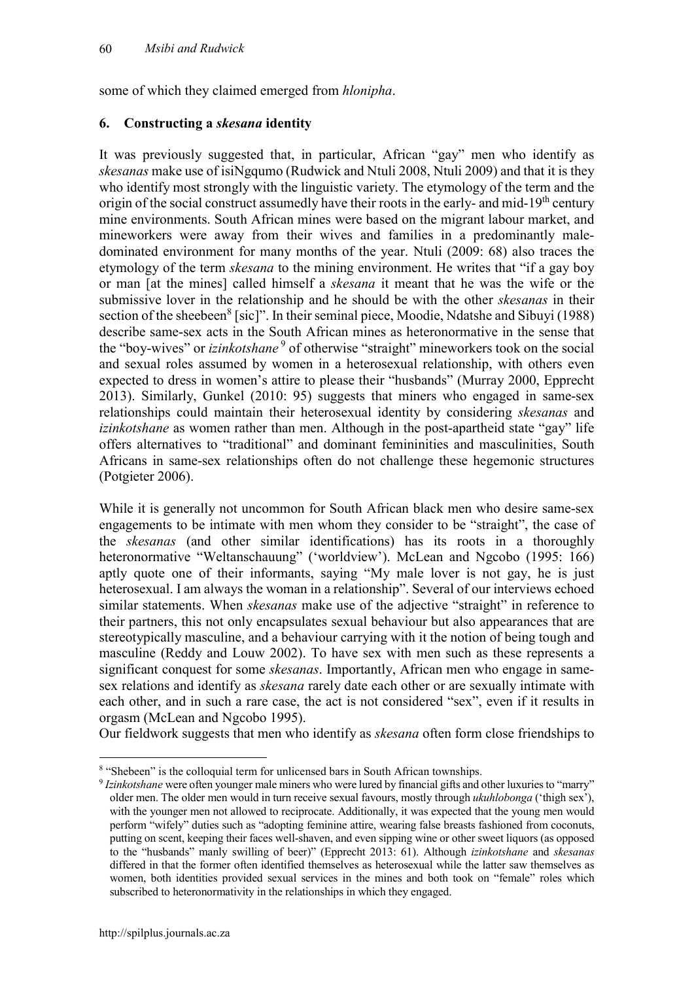some of which they claimed emerged from *hlonipha*.

## **6. Constructing a** *skesana* **identity**

It was previously suggested that, in particular, African "gay" men who identify as *skesanas* make use of isiNgqumo (Rudwick and Ntuli 2008, Ntuli 2009) and that it is they who identify most strongly with the linguistic variety. The etymology of the term and the origin of the social construct assumedly have their roots in the early- and mid-19<sup>th</sup> century mine environments. South African mines were based on the migrant labour market, and mineworkers were away from their wives and families in a predominantly maledominated environment for many months of the year. Ntuli (2009: 68) also traces the etymology of the term *skesana* to the mining environment. He writes that "if a gay boy or man [at the mines] called himself a *skesana* it meant that he was the wife or the submissive lover in the relationship and he should be with the other *skesanas* in their section of the sheebeen<sup>8</sup> [sic]". In their seminal piece, Moodie, Ndatshe and Sibuyi (1988) describe same-sex acts in the South African mines as heteronormative in the sense that the "boy-wives" or *izinkotshane*<sup>9</sup> of otherwise "straight" mineworkers took on the social and sexual roles assumed by women in a heterosexual relationship, with others even expected to dress in women's attire to please their "husbands" (Murray 2000, Epprecht 2013). Similarly, Gunkel (2010: 95) suggests that miners who engaged in same-sex relationships could maintain their heterosexual identity by considering *skesanas* and *izinkotshane* as women rather than men. Although in the post-apartheid state "gay" life offers alternatives to "traditional" and dominant femininities and masculinities, South Africans in same-sex relationships often do not challenge these hegemonic structures (Potgieter 2006).

While it is generally not uncommon for South African black men who desire same-sex engagements to be intimate with men whom they consider to be "straight", the case of the *skesanas* (and other similar identifications) has its roots in a thoroughly heteronormative "Weltanschauung" ('worldview'). McLean and Ngcobo (1995: 166) aptly quote one of their informants, saying "My male lover is not gay, he is just heterosexual. I am always the woman in a relationship". Several of our interviews echoed similar statements. When *skesanas* make use of the adjective "straight" in reference to their partners, this not only encapsulates sexual behaviour but also appearances that are stereotypically masculine, and a behaviour carrying with it the notion of being tough and masculine (Reddy and Louw 2002). To have sex with men such as these represents a significant conquest for some *skesanas*. Importantly, African men who engage in samesex relations and identify as *skesana* rarely date each other or are sexually intimate with each other, and in such a rare case, the act is not considered "sex", even if it results in orgasm (McLean and Ngcobo 1995).

Our fieldwork suggests that men who identify as *skesana* often form close friendships to

 <sup>8</sup> "Shebeen" is the colloquial term for unlicensed bars in South African townships.

<sup>9</sup> *Izinkotshane* were often younger male miners who were lured by financial gifts and other luxuries to "marry" older men. The older men would in turn receive sexual favours, mostly through *ukuhlobonga* ('thigh sex'), with the younger men not allowed to reciprocate. Additionally, it was expected that the young men would perform "wifely" duties such as "adopting feminine attire, wearing false breasts fashioned from coconuts, putting on scent, keeping their faces well-shaven, and even sipping wine or other sweet liquors (as opposed to the "husbands" manly swilling of beer)" (Epprecht 2013: 61). Although *izinkotshane* and *skesanas* differed in that the former often identified themselves as heterosexual while the latter saw themselves as women, both identities provided sexual services in the mines and both took on "female" roles which subscribed to heteronormativity in the relationships in which they engaged.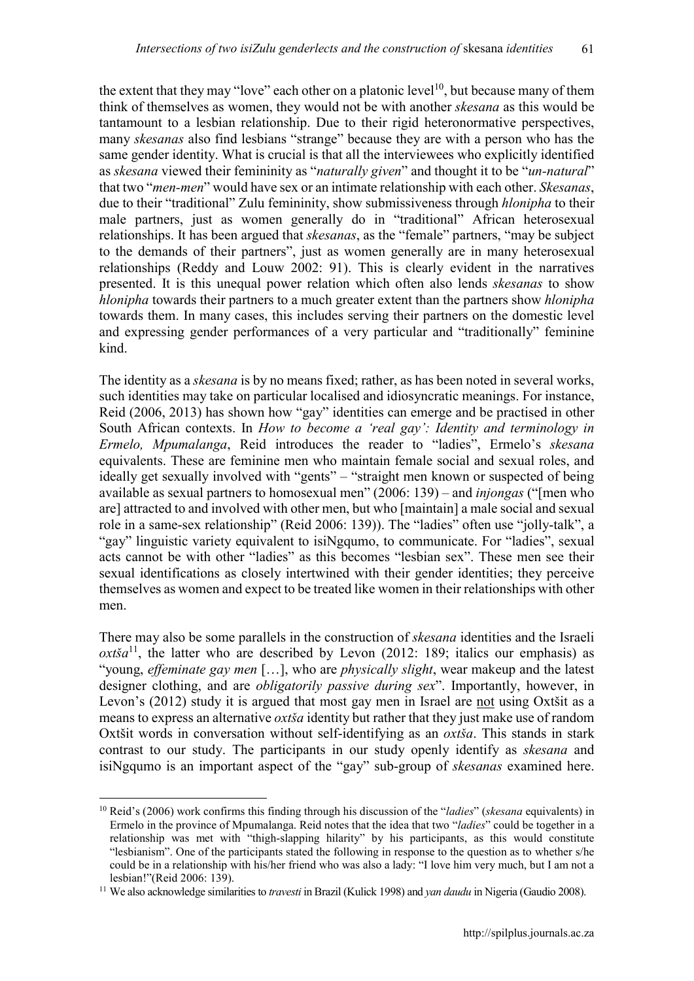the extent that they may "love" each other on a platonic level<sup>10</sup>, but because many of them think of themselves as women, they would not be with another *skesana* as this would be tantamount to a lesbian relationship. Due to their rigid heteronormative perspectives, many *skesanas* also find lesbians "strange" because they are with a person who has the same gender identity. What is crucial is that all the interviewees who explicitly identified as *skesana* viewed their femininity as "*naturally given*" and thought it to be "*un-natural*" that two "*men-men*" would have sex or an intimate relationship with each other. *Skesanas*, due to their "traditional" Zulu femininity, show submissiveness through *hlonipha* to their male partners, just as women generally do in "traditional" African heterosexual relationships. It has been argued that *skesanas*, as the "female" partners, "may be subject to the demands of their partners", just as women generally are in many heterosexual relationships (Reddy and Louw 2002: 91). This is clearly evident in the narratives presented. It is this unequal power relation which often also lends *skesanas* to show *hlonipha* towards their partners to a much greater extent than the partners show *hlonipha* towards them. In many cases, this includes serving their partners on the domestic level and expressing gender performances of a very particular and "traditionally" feminine kind.

The identity as a *skesana* is by no means fixed; rather, as has been noted in several works, such identities may take on particular localised and idiosyncratic meanings. For instance, Reid (2006, 2013) has shown how "gay" identities can emerge and be practised in other South African contexts. In *How to become a 'real gay': Identity and terminology in Ermelo, Mpumalanga*, Reid introduces the reader to "ladies", Ermelo's *skesana* equivalents. These are feminine men who maintain female social and sexual roles, and ideally get sexually involved with "gents" – "straight men known or suspected of being available as sexual partners to homosexual men" (2006: 139) – and *injongas* ("[men who are] attracted to and involved with other men, but who [maintain] a male social and sexual role in a same-sex relationship" (Reid 2006: 139)). The "ladies" often use "jolly-talk", a "gay" linguistic variety equivalent to isiNgqumo, to communicate. For "ladies", sexual acts cannot be with other "ladies" as this becomes "lesbian sex". These men see their sexual identifications as closely intertwined with their gender identities; they perceive themselves as women and expect to be treated like women in their relationships with other men.

There may also be some parallels in the construction of *skesana* identities and the Israeli *oxtša*<sup>11</sup>, the latter who are described by Levon (2012: 189; italics our emphasis) as "young, *effeminate gay men* […], who are *physically slight*, wear makeup and the latest designer clothing, and are *obligatorily passive during sex*". Importantly, however, in Levon's (2012) study it is argued that most gay men in Israel are not using Oxtšit as a means to express an alternative *oxtša* identity but rather that they just make use of random Oxtšit words in conversation without self-identifying as an *oxtša*. This stands in stark contrast to our study. The participants in our study openly identify as *skesana* and isiNgqumo is an important aspect of the "gay" sub-group of *skesanas* examined here.

 <sup>10</sup> Reid's (2006) work confirms this finding through his discussion of the "*ladies*" (*skesana* equivalents) in Ermelo in the province of Mpumalanga. Reid notes that the idea that two "*ladies*" could be together in a relationship was met with "thigh-slapping hilarity" by his participants, as this would constitute "lesbianism". One of the participants stated the following in response to the question as to whether s/he could be in a relationship with his/her friend who was also a lady: "I love him very much, but I am not a lesbian!"(Reid 2006: 139).

<sup>11</sup> We also acknowledge similarities to *travesti* in Brazil (Kulick 1998) and *yan daudu* in Nigeria (Gaudio 2008).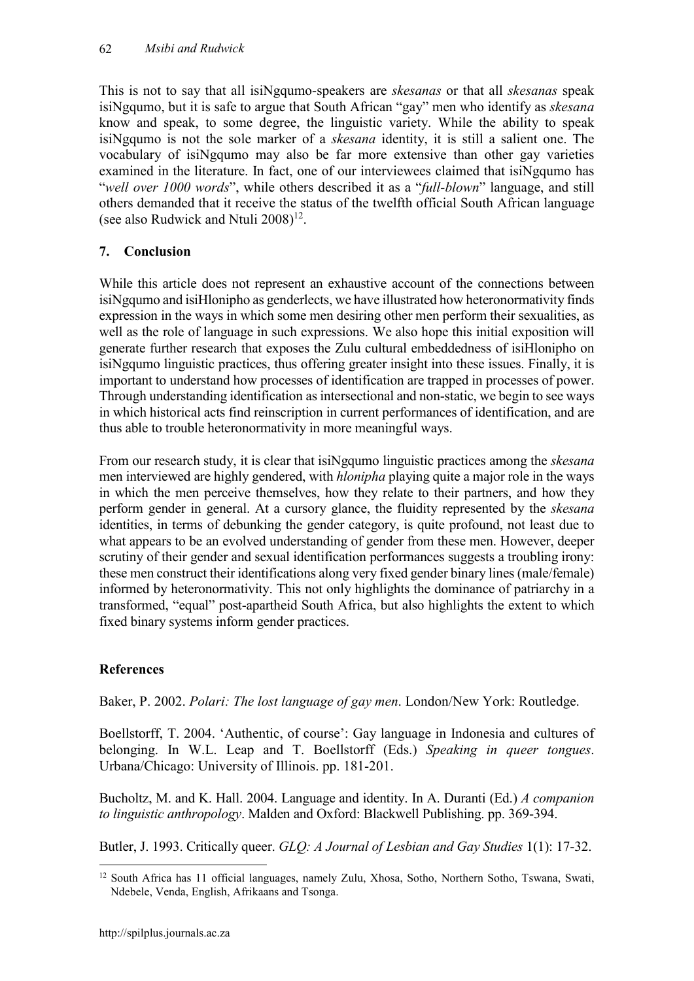This is not to say that all isiNgqumo-speakers are *skesanas* or that all *skesanas* speak isiNgqumo, but it is safe to argue that South African "gay" men who identify as *skesana* know and speak, to some degree, the linguistic variety. While the ability to speak isiNgqumo is not the sole marker of a *skesana* identity, it is still a salient one. The vocabulary of isiNgqumo may also be far more extensive than other gay varieties examined in the literature. In fact, one of our interviewees claimed that isiNgqumo has "*well over 1000 words*", while others described it as a "*full-blown*" language, and still others demanded that it receive the status of the twelfth official South African language (see also Rudwick and Ntuli  $2008$ <sup>12</sup>.

# **7. Conclusion**

While this article does not represent an exhaustive account of the connections between isiNgqumo and isiHlonipho as genderlects, we have illustrated how heteronormativity finds expression in the ways in which some men desiring other men perform their sexualities, as well as the role of language in such expressions. We also hope this initial exposition will generate further research that exposes the Zulu cultural embeddedness of isiHlonipho on isiNgqumo linguistic practices, thus offering greater insight into these issues. Finally, it is important to understand how processes of identification are trapped in processes of power. Through understanding identification as intersectional and non-static, we begin to see ways in which historical acts find reinscription in current performances of identification, and are thus able to trouble heteronormativity in more meaningful ways.

From our research study, it is clear that isiNgqumo linguistic practices among the *skesana* men interviewed are highly gendered, with *hlonipha* playing quite a major role in the ways in which the men perceive themselves, how they relate to their partners, and how they perform gender in general. At a cursory glance, the fluidity represented by the *skesana* identities, in terms of debunking the gender category, is quite profound, not least due to what appears to be an evolved understanding of gender from these men. However, deeper scrutiny of their gender and sexual identification performances suggests a troubling irony: these men construct their identifications along very fixed gender binary lines (male/female) informed by heteronormativity. This not only highlights the dominance of patriarchy in a transformed, "equal" post-apartheid South Africa, but also highlights the extent to which fixed binary systems inform gender practices.

# **References**

Baker, P. 2002. *Polari: The lost language of gay men*. London/New York: Routledge.

Boellstorff, T. 2004. 'Authentic, of course': Gay language in Indonesia and cultures of belonging. In W.L. Leap and T. Boellstorff (Eds.) *Speaking in queer tongues*. Urbana/Chicago: University of Illinois. pp. 181-201.

Bucholtz, M. and K. Hall. 2004. Language and identity. In A. Duranti (Ed.) *A companion to linguistic anthropology*. Malden and Oxford: Blackwell Publishing. pp. 369-394.

Butler, J. 1993. Critically queer. *GLQ: A Journal of Lesbian and Gay Studies* 1(1): 17-32.

<sup>&</sup>lt;sup>12</sup> South Africa has 11 official languages, namely Zulu, Xhosa, Sotho, Northern Sotho, Tswana, Swati, Ndebele, Venda, English, Afrikaans and Tsonga.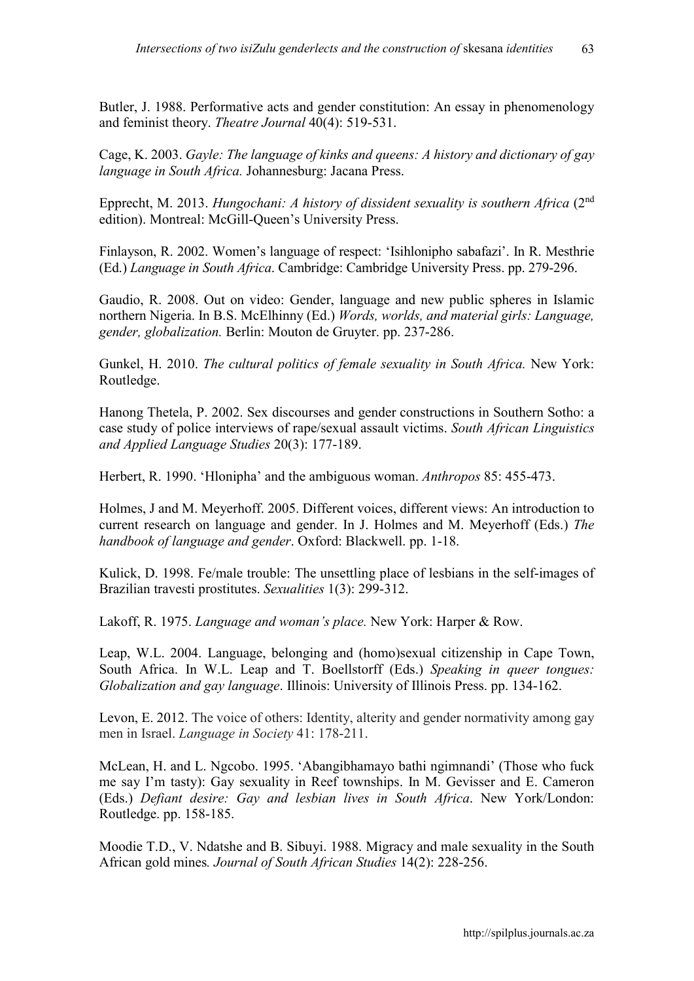Butler, J. 1988. Performative acts and gender constitution: An essay in phenomenology and feminist theory. *Theatre Journal* 40(4): 519-531.

Cage, K. 2003. *Gayle: The language of kinks and queens: A history and dictionary of gay language in South Africa.* Johannesburg: Jacana Press.

Epprecht, M. 2013. *Hungochani: A history of dissident sexuality is southern Africa* (2nd edition). Montreal: McGill-Queen's University Press.

Finlayson, R. 2002. Women's language of respect: 'Isihlonipho sabafazi'. In R. Mesthrie (Ed.) *Language in South Africa*. Cambridge: Cambridge University Press. pp. 279-296.

Gaudio, R. 2008. Out on video: Gender, language and new public spheres in Islamic northern Nigeria. In B.S. McElhinny (Ed.) *Words, worlds, and material girls: Language, gender, globalization.* Berlin: Mouton de Gruyter. pp. 237-286.

Gunkel, H. 2010. *The cultural politics of female sexuality in South Africa.* New York: Routledge.

Hanong Thetela, P. 2002. Sex discourses and gender constructions in Southern Sotho: a case study of police interviews of rape/sexual assault victims. *South African Linguistics and Applied Language Studies* 20(3): 177-189.

Herbert, R. 1990. 'Hlonipha' and the ambiguous woman. *Anthropos* 85: 455-473.

Holmes, J and M. Meyerhoff. 2005. Different voices, different views: An introduction to current research on language and gender. In J. Holmes and M. Meyerhoff (Eds.) *The handbook of language and gender*. Oxford: Blackwell. pp. 1-18.

Kulick, D. 1998. Fe/male trouble: The unsettling place of lesbians in the self-images of Brazilian travesti prostitutes. *Sexualities* 1(3): 299-312.

Lakoff, R. 1975. *Language and woman's place.* New York: Harper & Row.

Leap, W.L. 2004. Language, belonging and (homo)sexual citizenship in Cape Town, South Africa. In W.L. Leap and T. Boellstorff (Eds.) *Speaking in queer tongues: Globalization and gay language*. Illinois: University of Illinois Press. pp. 134-162.

Levon, E. 2012. The voice of others: Identity, alterity and gender normativity among gay men in Israel. *Language in Society* 41: 178-211.

McLean, H. and L. Ngcobo. 1995. 'Abangibhamayo bathi ngimnandi' (Those who fuck me say I'm tasty): Gay sexuality in Reef townships. In M. Gevisser and E. Cameron (Eds.) *Defiant desire: Gay and lesbian lives in South Africa*. New York/London: Routledge. pp. 158-185.

Moodie T.D., V. Ndatshe and B. Sibuyi. 1988. Migracy and male sexuality in the South African gold mines*. Journal of South African Studies* 14(2): 228-256.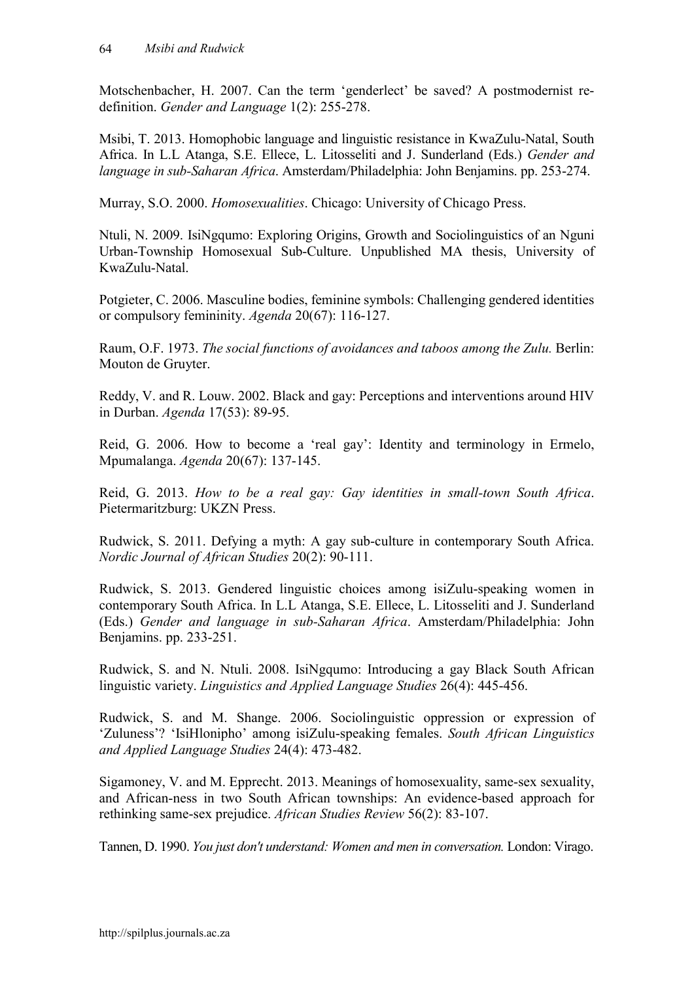Motschenbacher, H. 2007. Can the term 'genderlect' be saved? A postmodernist redefinition. *Gender and Language* 1(2): 255-278.

Msibi, T. 2013. Homophobic language and linguistic resistance in KwaZulu-Natal, South Africa. In L.L Atanga, S.E. Ellece, L. Litosseliti and J. Sunderland (Eds.) *Gender and language in sub-Saharan Africa*. Amsterdam/Philadelphia: John Benjamins. pp. 253-274.

Murray, S.O. 2000. *Homosexualities*. Chicago: University of Chicago Press.

Ntuli, N. 2009. IsiNgqumo: Exploring Origins, Growth and Sociolinguistics of an Nguni Urban-Township Homosexual Sub-Culture. Unpublished MA thesis, University of KwaZulu-Natal.

Potgieter, C. 2006. Masculine bodies, feminine symbols: Challenging gendered identities or compulsory femininity. *Agenda* 20(67): 116-127.

Raum, O.F. 1973. *The social functions of avoidances and taboos among the Zulu.* Berlin: Mouton de Gruyter.

Reddy, V. and R. Louw. 2002. Black and gay: Perceptions and interventions around HIV in Durban. *Agenda* 17(53): 89-95.

Reid, G. 2006. How to become a 'real gay': Identity and terminology in Ermelo, Mpumalanga. *Agenda* 20(67): 137-145.

Reid, G. 2013. *How to be a real gay: Gay identities in small-town South Africa*. Pietermaritzburg: UKZN Press.

Rudwick, S. 2011. Defying a myth: A gay sub-culture in contemporary South Africa. *Nordic Journal of African Studies* 20(2): 90-111.

Rudwick, S. 2013. Gendered linguistic choices among isiZulu-speaking women in contemporary South Africa. In L.L Atanga, S.E. Ellece, L. Litosseliti and J. Sunderland (Eds.) *Gender and language in sub-Saharan Africa*. Amsterdam/Philadelphia: John Benjamins. pp. 233-251.

Rudwick, S. and N. Ntuli. 2008. IsiNgqumo: Introducing a gay Black South African linguistic variety. *Linguistics and Applied Language Studies* 26(4): 445-456.

Rudwick, S. and M. Shange. 2006. Sociolinguistic oppression or expression of 'Zuluness'? 'IsiHlonipho' among isiZulu-speaking females. *South African Linguistics and Applied Language Studies* 24(4): 473-482.

Sigamoney, V. and M. Epprecht. 2013. Meanings of homosexuality, same-sex sexuality, and African-ness in two South African townships: An evidence-based approach for rethinking same-sex prejudice. *African Studies Review* 56(2): 83-107.

Tannen, D. 1990. *You just don't understand: Women and men in conversation.* London: Virago.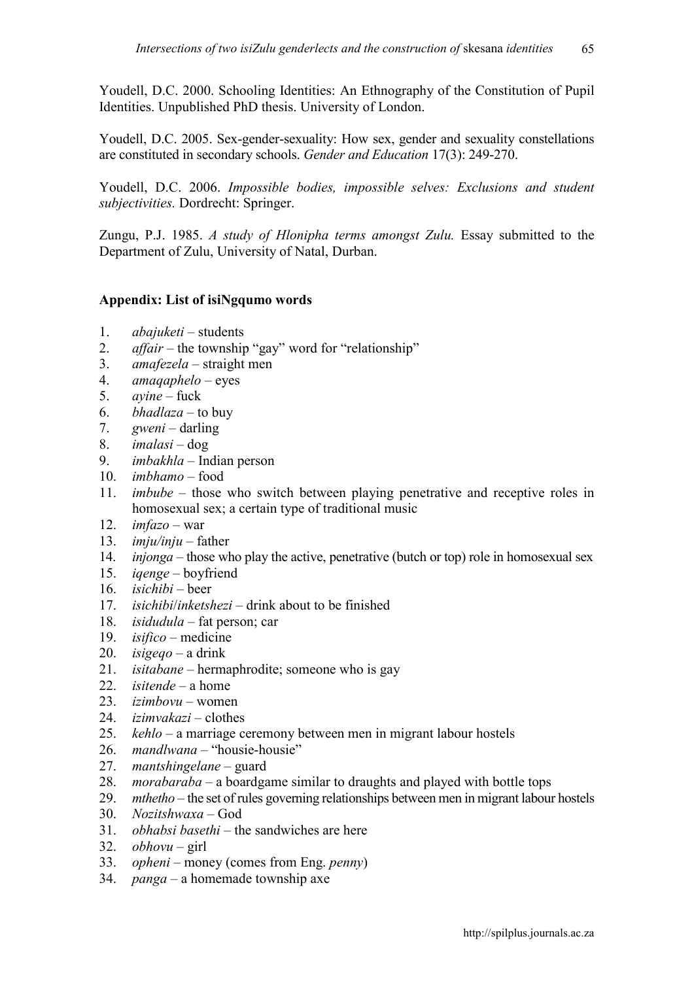Youdell, D.C. 2000. Schooling Identities: An Ethnography of the Constitution of Pupil Identities. Unpublished PhD thesis. University of London.

Youdell, D.C. 2005. Sex-gender-sexuality: How sex, gender and sexuality constellations are constituted in secondary schools. *Gender and Education* 17(3): 249-270.

Youdell, D.C. 2006. *Impossible bodies, impossible selves: Exclusions and student subjectivities.* Dordrecht: Springer.

Zungu, P.J. 1985. *A study of Hlonipha terms amongst Zulu.* Essay submitted to the Department of Zulu, University of Natal, Durban.

# **Appendix: List of isiNgqumo words**

- 1. *abajuketi* students
- 2. *affair* the township "gay" word for "relationship"
- 3. *amafezela* straight men
- 4. *amaqaphelo* eyes
- 5. *ayine* fuck
- 6. *bhadlaza*  to buy
- 7. *gweni* darling
- 8. *imalasi* dog
- 9. *imbakhla* Indian person
- 10. *imbhamo* food
- 11. *imbube* those who switch between playing penetrative and receptive roles in homosexual sex; a certain type of traditional music
- 12.  $imfazo war$
- 13. *imju/inju* father
- 14. *injonga* those who play the active, penetrative (butch or top) role in homosexual sex
- 15. *iqenge*  boyfriend
- 16. *isichibi* beer
- 17. *isichibi*/*inketshezi*  drink about to be finished
- 18. *isidudula*  fat person; car
- 19. *isifico*  medicine
- 20.  $isigeqo a$  drink
- 21. *isitabane* hermaphrodite; someone who is gay
- 22. *isitende*  a home
- 23. *izimbovu* women
- 24. *izimvakazi* clothes
- 25. *kehlo* a marriage ceremony between men in migrant labour hostels
- 26. *mandlwana* "housie-housie"
- 27. *mantshingelane* guard
- 28. *morabaraba* a boardgame similar to draughts and played with bottle tops
- 29. *mthetho* the set of rules governing relationships between men in migrant labour hostels
- 30. *Nozitshwaxa*  God
- 31. *obhabsi basethi* the sandwiches are here
- 32. *obhovu* girl
- 33. *opheni* money (comes from Eng. *penny*)
- 34. *panga* a homemade township axe